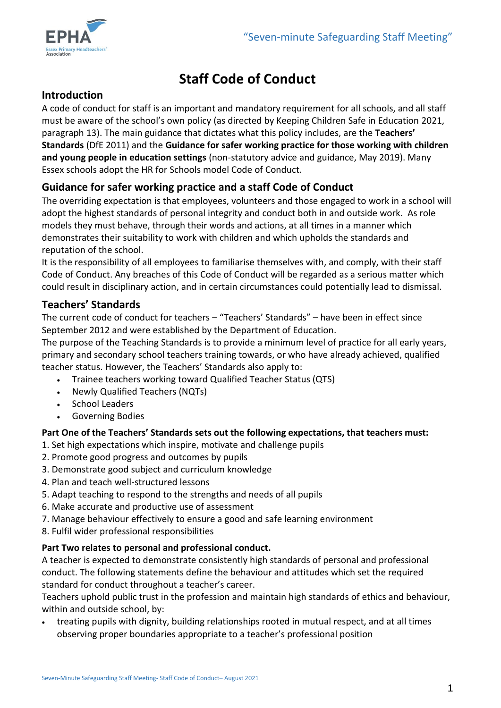

# **Staff Code of Conduct**

## **Introduction**

A code of conduct for staff is an important and mandatory requirement for all schools, and all staff must be aware of the school's own policy (as directed by Keeping Children Safe in Education 2021, paragraph 13). The main guidance that dictates what this policy includes, are the **Teachers' Standards** (DfE 2011) and the **Guidance for safer working practice for those working with children and young people in education settings** (non-statutory advice and guidance, May 2019). Many Essex schools adopt the HR for Schools model Code of Conduct.

## **Guidance for safer working practice and a staff Code of Conduct**

The overriding expectation is that employees, volunteers and those engaged to work in a school will adopt the highest standards of personal integrity and conduct both in and outside work. As role models they must behave, through their words and actions, at all times in a manner which demonstrates their suitability to work with children and which upholds the standards and reputation of the school.

It is the responsibility of all employees to familiarise themselves with, and comply, with their staff Code of Conduct. Any breaches of this Code of Conduct will be regarded as a serious matter which could result in disciplinary action, and in certain circumstances could potentially lead to dismissal.

## **Teachers' Standards**

The current code of conduct for teachers – "Teachers' Standards" – have been in effect since September 2012 and were established by the Department of Education.

The purpose of the Teaching Standards is to provide a minimum level of practice for all early years, primary and secondary school teachers training towards, or who have already achieved, qualified teacher status. However, the Teachers' Standards also apply to:

- Trainee teachers working toward Qualified Teacher Status (QTS)
- Newly Qualified Teachers (NQTs)
- School Leaders
- Governing Bodies

#### **Part One of the Teachers' Standards sets out the following expectations, that teachers must:**

- 1. Set high expectations which inspire, motivate and challenge pupils
- 2. Promote good progress and outcomes by pupils
- 3. Demonstrate good subject and curriculum knowledge
- 4. Plan and teach well-structured lessons
- 5. Adapt teaching to respond to the strengths and needs of all pupils
- 6. Make accurate and productive use of assessment
- 7. Manage behaviour effectively to ensure a good and safe learning environment
- 8. Fulfil wider professional responsibilities

#### **Part Two relates to personal and professional conduct.**

A teacher is expected to demonstrate consistently high standards of personal and professional conduct. The following statements define the behaviour and attitudes which set the required standard for conduct throughout a teacher's career.

Teachers uphold public trust in the profession and maintain high standards of ethics and behaviour, within and outside school, by:

 treating pupils with dignity, building relationships rooted in mutual respect, and at all times observing proper boundaries appropriate to a teacher's professional position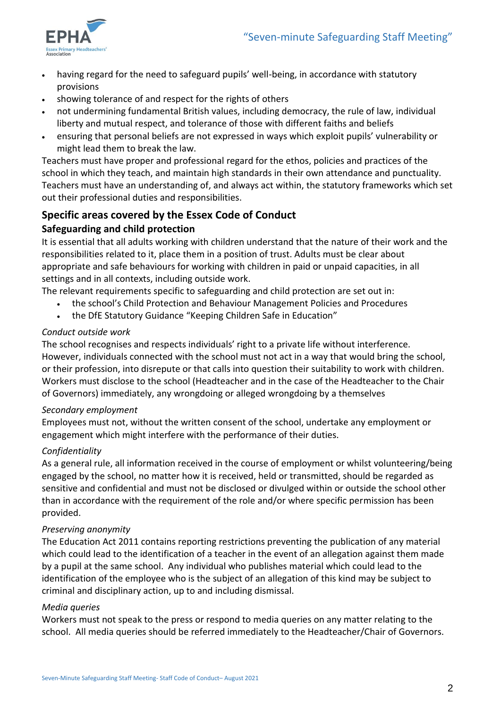

- having regard for the need to safeguard pupils' well-being, in accordance with statutory provisions
- showing tolerance of and respect for the rights of others
- not undermining fundamental British values, including democracy, the rule of law, individual liberty and mutual respect, and tolerance of those with different faiths and beliefs
- ensuring that personal beliefs are not expressed in ways which exploit pupils' vulnerability or might lead them to break the law.

Teachers must have proper and professional regard for the ethos, policies and practices of the school in which they teach, and maintain high standards in their own attendance and punctuality. Teachers must have an understanding of, and always act within, the statutory frameworks which set out their professional duties and responsibilities.

## **Specific areas covered by the Essex Code of Conduct**

#### **Safeguarding and child protection**

It is essential that all adults working with children understand that the nature of their work and the responsibilities related to it, place them in a position of trust. Adults must be clear about appropriate and safe behaviours for working with children in paid or unpaid capacities, in all settings and in all contexts, including outside work.

The relevant requirements specific to safeguarding and child protection are set out in:

- the school's Child Protection and Behaviour Management Policies and Procedures
- the DfE Statutory Guidance "Keeping Children Safe in Education"

#### *Conduct outside work*

The school recognises and respects individuals' right to a private life without interference. However, individuals connected with the school must not act in a way that would bring the school, or their profession, into disrepute or that calls into question their suitability to work with children. Workers must disclose to the school (Headteacher and in the case of the Headteacher to the Chair of Governors) immediately, any wrongdoing or alleged wrongdoing by a themselves

#### *Secondary employment*

Employees must not, without the written consent of the school, undertake any employment or engagement which might interfere with the performance of their duties.

#### *Confidentiality*

As a general rule, all information received in the course of employment or whilst volunteering/being engaged by the school, no matter how it is received, held or transmitted, should be regarded as sensitive and confidential and must not be disclosed or divulged within or outside the school other than in accordance with the requirement of the role and/or where specific permission has been provided.

#### *Preserving anonymity*

The Education Act 2011 contains reporting restrictions preventing the publication of any material which could lead to the identification of a teacher in the event of an allegation against them made by a pupil at the same school. Any individual who publishes material which could lead to the identification of the employee who is the subject of an allegation of this kind may be subject to criminal and disciplinary action, up to and including dismissal.

#### *Media queries*

Workers must not speak to the press or respond to media queries on any matter relating to the school. All media queries should be referred immediately to the Headteacher/Chair of Governors.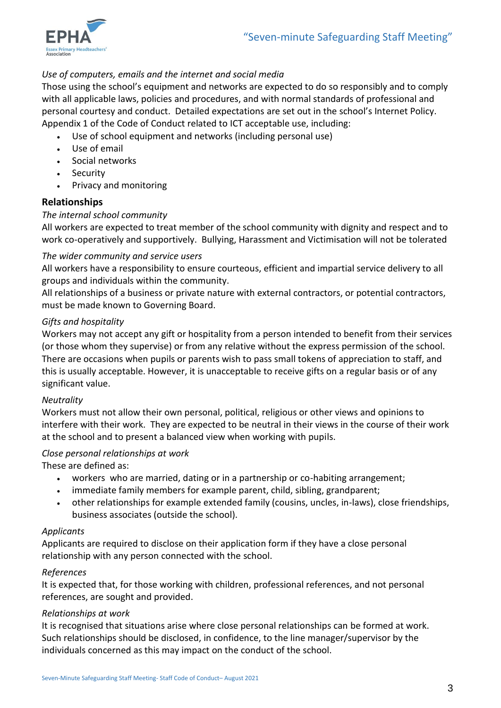

#### *Use of computers, emails and the internet and social media*

Those using the school's equipment and networks are expected to do so responsibly and to comply with all applicable laws, policies and procedures, and with normal standards of professional and personal courtesy and conduct. Detailed expectations are set out in the school's Internet Policy. Appendix 1 of the Code of Conduct related to ICT acceptable use, including:

- Use of school equipment and networks (including personal use)
- Use of email
- Social networks
- Security
- Privacy and monitoring

#### **Relationships**

#### *The internal school community*

All workers are expected to treat member of the school community with dignity and respect and to work co-operatively and supportively. Bullying, Harassment and Victimisation will not be tolerated

#### *The wider community and service users*

All workers have a responsibility to ensure courteous, efficient and impartial service delivery to all groups and individuals within the community.

All relationships of a business or private nature with external contractors, or potential contractors, must be made known to Governing Board.

#### *Gifts and hospitality*

Workers may not accept any gift or hospitality from a person intended to benefit from their services (or those whom they supervise) or from any relative without the express permission of the school. There are occasions when pupils or parents wish to pass small tokens of appreciation to staff, and this is usually acceptable. However, it is unacceptable to receive gifts on a regular basis or of any significant value.

#### *Neutrality*

Workers must not allow their own personal, political, religious or other views and opinions to interfere with their work. They are expected to be neutral in their views in the course of their work at the school and to present a balanced view when working with pupils.

#### *Close personal relationships at work*

These are defined as:

- workers who are married, dating or in a partnership or co-habiting arrangement;
- immediate family members for example parent, child, sibling, grandparent;
- other relationships for example extended family (cousins, uncles, in-laws), close friendships, business associates (outside the school).

#### *Applicants*

Applicants are required to disclose on their application form if they have a close personal relationship with any person connected with the school.

#### *References*

It is expected that, for those working with children, professional references, and not personal references, are sought and provided.

#### *Relationships at work*

It is recognised that situations arise where close personal relationships can be formed at work. Such relationships should be disclosed, in confidence, to the line manager/supervisor by the individuals concerned as this may impact on the conduct of the school.